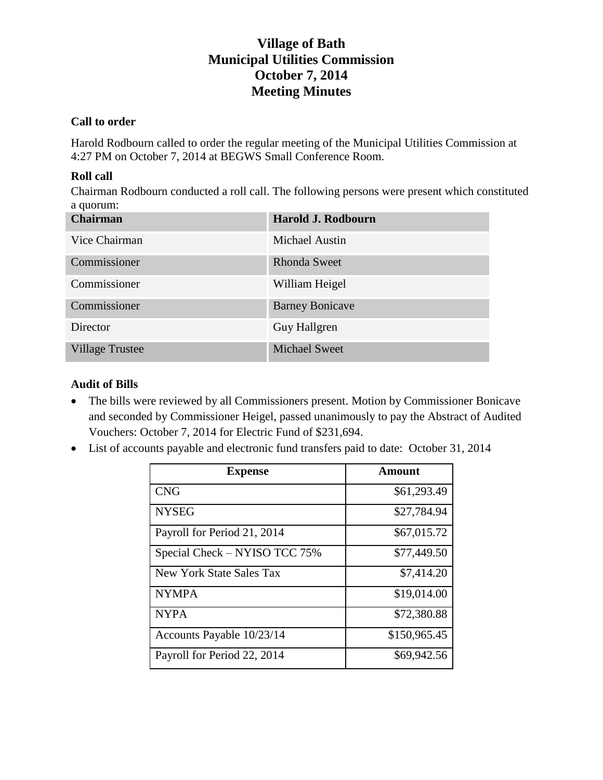### **Call to order**

Harold Rodbourn called to order the regular meeting of the Municipal Utilities Commission at 4:27 PM on October 7, 2014 at BEGWS Small Conference Room.

## **Roll call**

Chairman Rodbourn conducted a roll call. The following persons were present which constituted a quorum:

| <b>Chairman</b>        | Harold J. Rodbourn     |
|------------------------|------------------------|
| Vice Chairman          | <b>Michael Austin</b>  |
| Commissioner           | <b>Rhonda Sweet</b>    |
| Commissioner           | William Heigel         |
| Commissioner           | <b>Barney Bonicave</b> |
| Director               | Guy Hallgren           |
| <b>Village Trustee</b> | <b>Michael Sweet</b>   |

## **Audit of Bills**

- The bills were reviewed by all Commissioners present. Motion by Commissioner Bonicave and seconded by Commissioner Heigel, passed unanimously to pay the Abstract of Audited Vouchers: October 7, 2014 for Electric Fund of \$231,694.
- List of accounts payable and electronic fund transfers paid to date: October 31, 2014

| <b>Expense</b>                | Amount       |
|-------------------------------|--------------|
| <b>CNG</b>                    | \$61,293.49  |
| <b>NYSEG</b>                  | \$27,784.94  |
| Payroll for Period 21, 2014   | \$67,015.72  |
| Special Check - NYISO TCC 75% | \$77,449.50  |
| New York State Sales Tax      | \$7,414.20   |
| <b>NYMPA</b>                  | \$19,014.00  |
| <b>NYPA</b>                   | \$72,380.88  |
| Accounts Payable 10/23/14     | \$150,965.45 |
| Payroll for Period 22, 2014   | \$69,942.56  |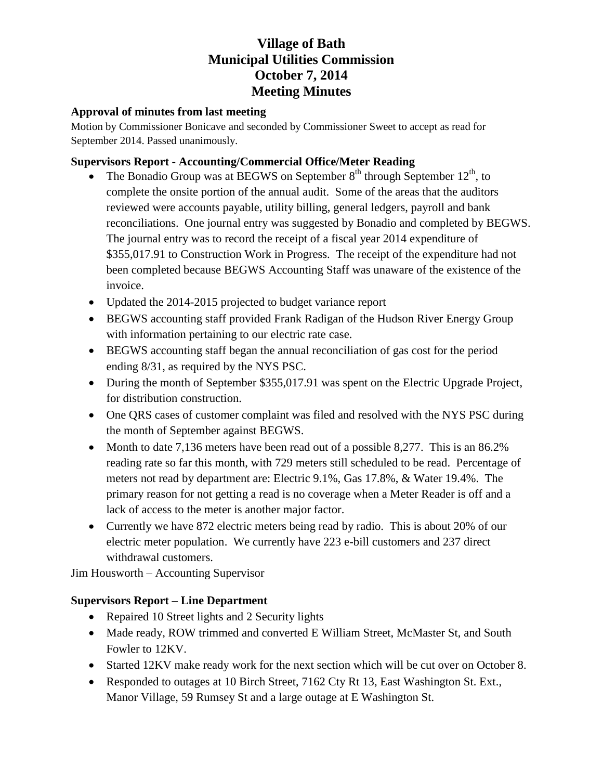### **Approval of minutes from last meeting**

Motion by Commissioner Bonicave and seconded by Commissioner Sweet to accept as read for September 2014. Passed unanimously.

## **Supervisors Report - Accounting/Commercial Office/Meter Reading**

- The Bonadio Group was at BEGWS on September  $8<sup>th</sup>$  through September 12<sup>th</sup>, to complete the onsite portion of the annual audit. Some of the areas that the auditors reviewed were accounts payable, utility billing, general ledgers, payroll and bank reconciliations. One journal entry was suggested by Bonadio and completed by BEGWS. The journal entry was to record the receipt of a fiscal year 2014 expenditure of \$355,017.91 to Construction Work in Progress. The receipt of the expenditure had not been completed because BEGWS Accounting Staff was unaware of the existence of the invoice.
- Updated the 2014-2015 projected to budget variance report
- BEGWS accounting staff provided Frank Radigan of the Hudson River Energy Group with information pertaining to our electric rate case.
- BEGWS accounting staff began the annual reconciliation of gas cost for the period ending 8/31, as required by the NYS PSC.
- During the month of September \$355,017.91 was spent on the Electric Upgrade Project, for distribution construction.
- One QRS cases of customer complaint was filed and resolved with the NYS PSC during the month of September against BEGWS.
- Month to date 7,136 meters have been read out of a possible 8,277. This is an 86.2% reading rate so far this month, with 729 meters still scheduled to be read. Percentage of meters not read by department are: Electric 9.1%, Gas 17.8%, & Water 19.4%. The primary reason for not getting a read is no coverage when a Meter Reader is off and a lack of access to the meter is another major factor.
- Currently we have 872 electric meters being read by radio. This is about 20% of our electric meter population. We currently have 223 e-bill customers and 237 direct withdrawal customers.

Jim Housworth – Accounting Supervisor

## **Supervisors Report – Line Department**

- Repaired 10 Street lights and 2 Security lights
- Made ready, ROW trimmed and converted E William Street, McMaster St, and South Fowler to 12KV.
- Started 12KV make ready work for the next section which will be cut over on October 8.
- Responded to outages at 10 Birch Street, 7162 Cty Rt 13, East Washington St. Ext., Manor Village, 59 Rumsey St and a large outage at E Washington St.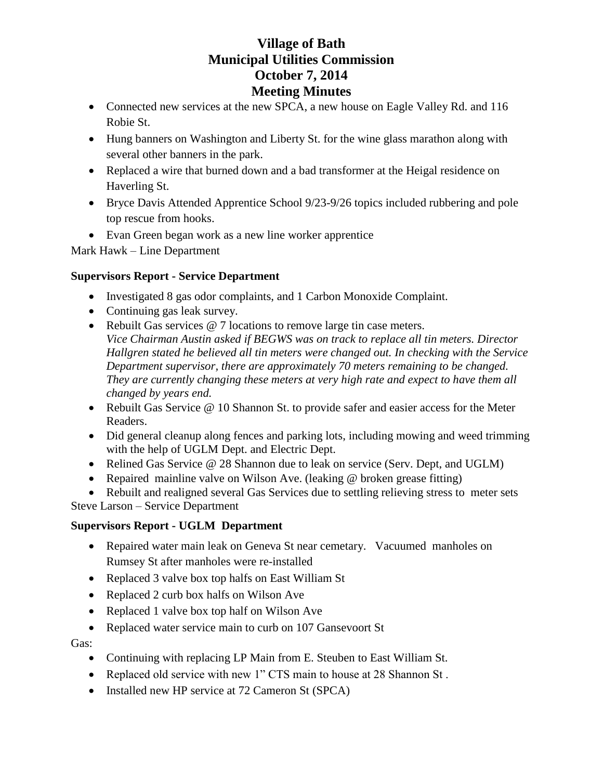- Connected new services at the new SPCA, a new house on Eagle Valley Rd. and 116 Robie St.
- Hung banners on Washington and Liberty St. for the wine glass marathon along with several other banners in the park.
- Replaced a wire that burned down and a bad transformer at the Heigal residence on Haverling St.
- Bryce Davis Attended Apprentice School 9/23-9/26 topics included rubbering and pole top rescue from hooks.
- Evan Green began work as a new line worker apprentice

Mark Hawk – Line Department

## **Supervisors Report - Service Department**

- Investigated 8 gas odor complaints, and 1 Carbon Monoxide Complaint.
- Continuing gas leak survey.
- Rebuilt Gas services @ 7 locations to remove large tin case meters. *Vice Chairman Austin asked if BEGWS was on track to replace all tin meters. Director Hallgren stated he believed all tin meters were changed out. In checking with the Service Department supervisor, there are approximately 70 meters remaining to be changed. They are currently changing these meters at very high rate and expect to have them all changed by years end.*
- Rebuilt Gas Service @ 10 Shannon St. to provide safer and easier access for the Meter Readers.
- Did general cleanup along fences and parking lots, including mowing and weed trimming with the help of UGLM Dept. and Electric Dept.
- Relined Gas Service @ 28 Shannon due to leak on service (Serv. Dept, and UGLM)
- Repaired mainline valve on Wilson Ave. (leaking @ broken grease fitting)

 Rebuilt and realigned several Gas Services due to settling relieving stress to meter sets Steve Larson – Service Department

## **Supervisors Report - UGLM Department**

- Repaired water main leak on Geneva St near cemetary. Vacuumed manholes on Rumsey St after manholes were re-installed
- Replaced 3 valve box top halfs on East William St
- Replaced 2 curb box halfs on Wilson Ave
- Replaced 1 valve box top half on Wilson Ave
- Replaced water service main to curb on 107 Gansevoort St

## Gas:

- Continuing with replacing LP Main from E. Steuben to East William St.
- Replaced old service with new 1" CTS main to house at 28 Shannon St.
- Installed new HP service at 72 Cameron St (SPCA)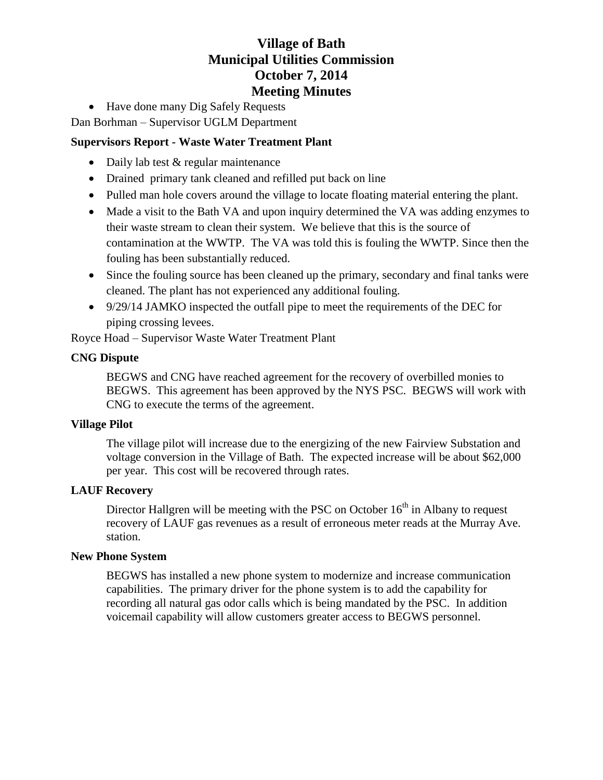• Have done many Dig Safely Requests

Dan Borhman – Supervisor UGLM Department

## **Supervisors Report - Waste Water Treatment Plant**

- Daily lab test & regular maintenance
- Drained primary tank cleaned and refilled put back on line
- Pulled man hole covers around the village to locate floating material entering the plant.
- Made a visit to the Bath VA and upon inquiry determined the VA was adding enzymes to their waste stream to clean their system. We believe that this is the source of contamination at the WWTP. The VA was told this is fouling the WWTP. Since then the fouling has been substantially reduced.
- Since the fouling source has been cleaned up the primary, secondary and final tanks were cleaned. The plant has not experienced any additional fouling.
- $\bullet$  9/29/14 JAMKO inspected the outfall pipe to meet the requirements of the DEC for piping crossing levees.

Royce Hoad – Supervisor Waste Water Treatment Plant

#### **CNG Dispute**

BEGWS and CNG have reached agreement for the recovery of overbilled monies to BEGWS. This agreement has been approved by the NYS PSC. BEGWS will work with CNG to execute the terms of the agreement.

#### **Village Pilot**

The village pilot will increase due to the energizing of the new Fairview Substation and voltage conversion in the Village of Bath. The expected increase will be about \$62,000 per year. This cost will be recovered through rates.

## **LAUF Recovery**

Director Hallgren will be meeting with the PSC on October  $16<sup>th</sup>$  in Albany to request recovery of LAUF gas revenues as a result of erroneous meter reads at the Murray Ave. station.

## **New Phone System**

BEGWS has installed a new phone system to modernize and increase communication capabilities. The primary driver for the phone system is to add the capability for recording all natural gas odor calls which is being mandated by the PSC. In addition voicemail capability will allow customers greater access to BEGWS personnel.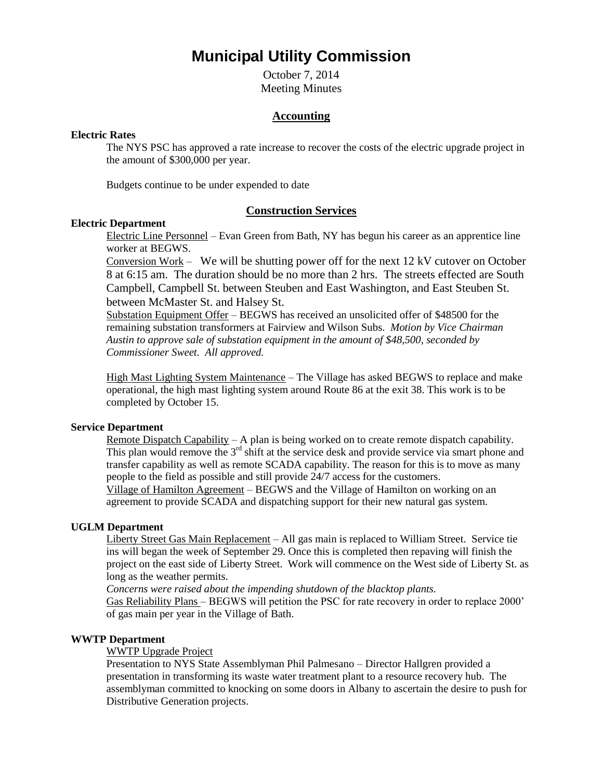# **Municipal Utility Commission**

October 7, 2014 Meeting Minutes

#### **Accounting**

#### **Electric Rates**

The NYS PSC has approved a rate increase to recover the costs of the electric upgrade project in the amount of \$300,000 per year.

Budgets continue to be under expended to date

#### **Construction Services**

#### **Electric Department**

Electric Line Personnel – Evan Green from Bath, NY has begun his career as an apprentice line worker at BEGWS.

Conversion Work – We will be shutting power off for the next 12 kV cutover on October 8 at 6:15 am. The duration should be no more than 2 hrs. The streets effected are South Campbell, Campbell St. between Steuben and East Washington, and East Steuben St. between McMaster St. and Halsey St.

Substation Equipment Offer – BEGWS has received an unsolicited offer of \$48500 for the remaining substation transformers at Fairview and Wilson Subs. *Motion by Vice Chairman Austin to approve sale of substation equipment in the amount of \$48,500, seconded by Commissioner Sweet. All approved.* 

High Mast Lighting System Maintenance – The Village has asked BEGWS to replace and make operational, the high mast lighting system around Route 86 at the exit 38. This work is to be completed by October 15.

#### **Service Department**

Remote Dispatch Capability – A plan is being worked on to create remote dispatch capability. This plan would remove the 3<sup>rd</sup> shift at the service desk and provide service via smart phone and transfer capability as well as remote SCADA capability. The reason for this is to move as many people to the field as possible and still provide 24/7 access for the customers. Village of Hamilton Agreement – BEGWS and the Village of Hamilton on working on an agreement to provide SCADA and dispatching support for their new natural gas system.

#### **UGLM Department**

Liberty Street Gas Main Replacement – All gas main is replaced to William Street. Service tie ins will began the week of September 29. Once this is completed then repaving will finish the project on the east side of Liberty Street. Work will commence on the West side of Liberty St. as long as the weather permits.

*Concerns were raised about the impending shutdown of the blacktop plants.* 

Gas Reliability Plans – BEGWS will petition the PSC for rate recovery in order to replace 2000' of gas main per year in the Village of Bath.

#### **WWTP Department**

#### WWTP Upgrade Project

Presentation to NYS State Assemblyman Phil Palmesano – Director Hallgren provided a presentation in transforming its waste water treatment plant to a resource recovery hub. The assemblyman committed to knocking on some doors in Albany to ascertain the desire to push for Distributive Generation projects.